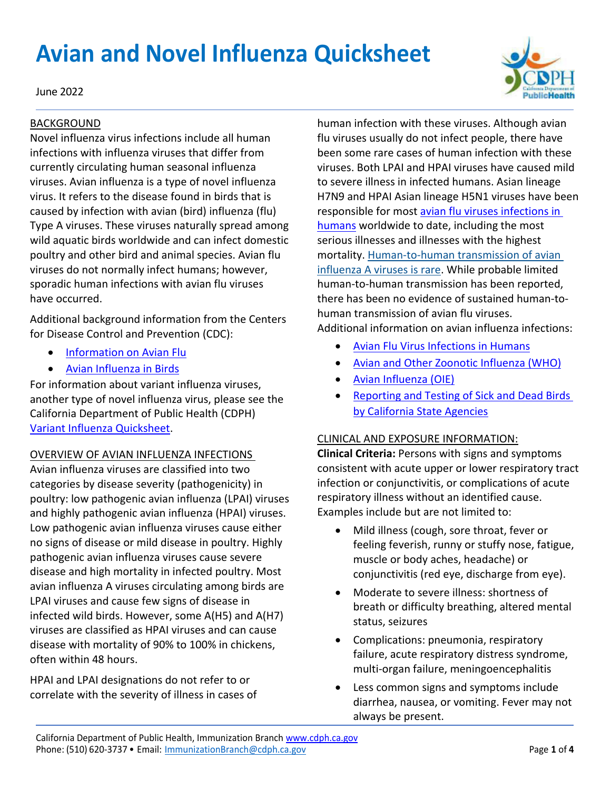# **Avian and Novel Influenza Quicksheet**

June 2022

### BACKGROUND

Novel influenza virus infections include all human infections with influenza viruses that differ from currently circulating human seasonal influenza viruses. Avian influenza is a type of novel influenza virus. It refers to the disease found in birds that is caused by infection with avian (bird) influenza (flu) Type A viruses. These viruses naturally spread among wild aquatic birds worldwide and can infect domestic poultry and other bird and animal species. Avian flu viruses do not normally infect humans; however, sporadic human infections with avian flu viruses have occurred.

Additional background information from the Centers for Disease Control and Prevention (CDC):

- [Information on Avian Flu](https://www.cdc.gov/flu/avianflu/index.htm)
- [Avian Influenza in Birds](https://www.cdc.gov/flu/avianflu/avian-in-birds.htm)

For information about variant influenza viruses, another type of novel influenza virus, please see the California Department of Public Health (CDPH) [Variant Influenza Quicksheet.](https://www.cdph.ca.gov/Programs/CID/DCDC/CDPH%20Document%20Library/Immunization/VariantInfluenza-Quicksheet.pdf)

# OVERVIEW OF AVIAN INFLUENZA INFECTIONS

Avian influenza viruses are classified into two categories by disease severity (pathogenicity) in poultry: low pathogenic avian influenza (LPAI) viruses and highly pathogenic avian influenza (HPAI) viruses. Low pathogenic avian influenza viruses cause either no signs of disease or mild disease in poultry. Highly pathogenic avian influenza viruses cause severe disease and high mortality in infected poultry. Most avian influenza A viruses circulating among birds are LPAI viruses and cause few signs of disease in infected wild birds. However, some A(H5) and A(H7) viruses are classified as HPAI viruses and can cause disease with mortality of 90% to 100% in chickens, often within 48 hours.

HPAI and LPAI designations do not refer to or correlate with the severity of illness in cases of human infection with these viruses. Although avian flu viruses usually do not infect people, there have been some rare cases of human infection with these viruses. Both LPAI and HPAI viruses have caused mild to severe illness in infected humans. Asian lineage H7N9 and HPAI Asian lineage H5N1 viruses have been responsible for most [avian flu viruses infections in](https://www.cdc.gov/flu/avianflu/avian-in-humans.htm)  [humans](https://www.cdc.gov/flu/avianflu/avian-in-humans.htm) worldwide to date, including the most serious illnesses and illnesses with the highest mortality. [Human-to-human transmission of avian](https://www.cdc.gov/flu/avianflu/h5n1-human-infections.htm)  [influenza A viruses is rare.](https://www.cdc.gov/flu/avianflu/h5n1-human-infections.htm) While probable limited human-to-human transmission has been reported, there has been no evidence of sustained human-tohuman transmission of avian flu viruses.

Additional information on avian influenza infections:

- [Avian Flu Virus Infections in Humans](https://www.cdc.gov/flu/avianflu/avian-in-humans.htm)
- [Avian and Other Zoonotic Influenza \(WHO\)](https://www.who.int/news-room/fact-sheets/detail/influenza-(avian-and-other-zoonotic))
- [Avian Influenza \(OIE\)](https://www.oie.int/en/disease/avian-influenza/)
- [Reporting and Testing of Sick and Dead Birds](https://westnile.ca.gov/download?download_id=4729)  [by California State Agencies](https://westnile.ca.gov/download?download_id=4729)

# CLINICAL AND EXPOSURE INFORMATION:

**Clinical Criteria:** Persons with signs and symptoms consistent with acute upper or lower respiratory tract infection or conjunctivitis, or complications of acute respiratory illness without an identified cause. Examples include but are not limited to:

- Mild illness (cough, sore throat, fever or feeling feverish, runny or stuffy nose, fatigue, muscle or body aches, headache) or conjunctivitis (red eye, discharge from eye).
- Moderate to severe illness: shortness of breath or difficulty breathing, altered mental status, seizures
- Complications: pneumonia, respiratory failure, acute respiratory distress syndrome, multi-organ failure, meningoencephalitis
- Less common signs and symptoms include diarrhea, nausea, or vomiting. Fever may not always be present.

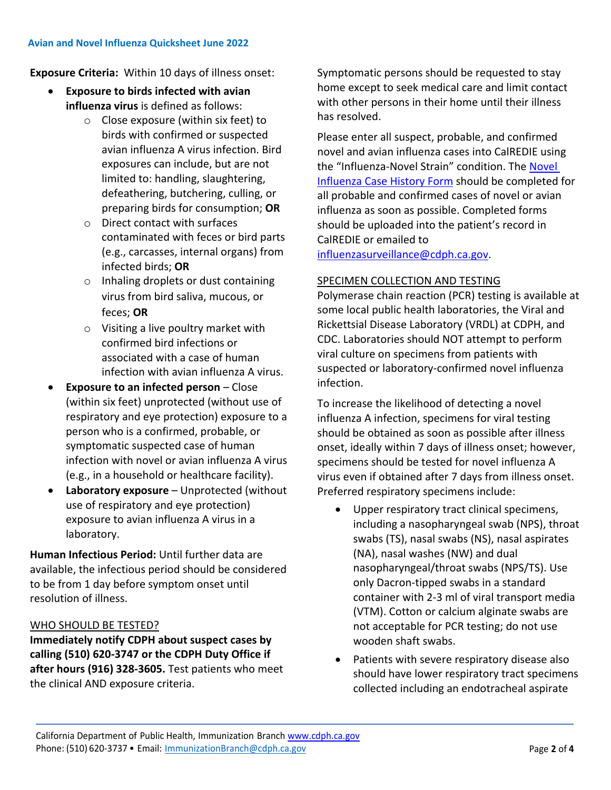**Exposure Criteria:** Within 10 days of illness onset:

- **Exposure to birds infected with avian influenza virus** is defined as follows:
	- o Close exposure (within six feet) to birds with confirmed or suspected avian influenza A virus infection. Bird exposures can include, but are not limited to: handling, slaughtering, defeathering, butchering, culling, or preparing birds for consumption; **OR**
	- o Direct contact with surfaces contaminated with feces or bird parts (e.g., carcasses, internal organs) from infected birds; **OR**
	- o Inhaling droplets or dust containing virus from bird saliva, mucous, or feces; **OR**
	- o Visiting a live poultry market with confirmed bird infections or associated with a case of human infection with avian influenza A virus.
- **Exposure to an infected person** *–* Close (within six feet) unprotected (without use of respiratory and eye protection) exposure to a person who is a confirmed, probable, or symptomatic suspected case of human infection with novel or avian influenza A virus (e.g., in a household or healthcare facility).
- **Laboratory exposure** Unprotected (without use of respiratory and eye protection) exposure to avian influenza A virus in a laboratory.

**Human Infectious Period:** Until further data are available, the infectious period should be considered to be from 1 day before symptom onset until resolution of illness.

# WHO SHOULD BE TESTED?

**Immediately notify CDPH about suspect cases by calling (510) 620-3747 or the CDPH Duty Office if after hours (916) 328-3605.** Test patients who meet the clinical AND exposure criteria.

Symptomatic persons should be requested to stay home except to seek medical care and limit contact with other persons in their home until their illness has resolved.

Please enter all suspect, probable, and confirmed novel and avian influenza cases into CalREDIE using the "Influenza-Novel Strain" condition. The [Novel](https://www.cdph.ca.gov/CDPH%20Document%20Library/ControlledForms/CDCOMB0920-0004.pdf)  [Influenza Case History Form](https://www.cdph.ca.gov/CDPH%20Document%20Library/ControlledForms/CDCOMB0920-0004.pdf) should be completed for all probable and confirmed cases of novel or avian influenza as soon as possible. Completed forms should be uploaded into the patient's record in CalREDIE or emailed to

[influenzasurveillance@cdph.ca.gov.](mailto:influenzasurveillance@cdph.ca.gov)

# SPECIMEN COLLECTION AND TESTING

Polymerase chain reaction (PCR) testing is available at some local public health laboratories, the Viral and Rickettsial Disease Laboratory (VRDL) at CDPH, and CDC. Laboratories should NOT attempt to perform viral culture on specimens from patients with suspected or laboratory-confirmed novel influenza infection.

To increase the likelihood of detecting a novel influenza A infection, specimens for viral testing should be obtained as soon as possible after illness onset, ideally within 7 days of illness onset; however, specimens should be tested for novel influenza A virus even if obtained after 7 days from illness onset. Preferred respiratory specimens include:

- Upper respiratory tract clinical specimens, including a nasopharyngeal swab (NPS), throat swabs (TS), nasal swabs (NS), nasal aspirates (NA), nasal washes (NW) and dual nasopharyngeal/throat swabs (NPS/TS). Use only Dacron-tipped swabs in a standard container with 2-3 ml of viral transport media (VTM). Cotton or calcium alginate swabs are not acceptable for PCR testing; do not use wooden shaft swabs.
- Patients with severe respiratory disease also should have lower respiratory tract specimens collected including an endotracheal aspirate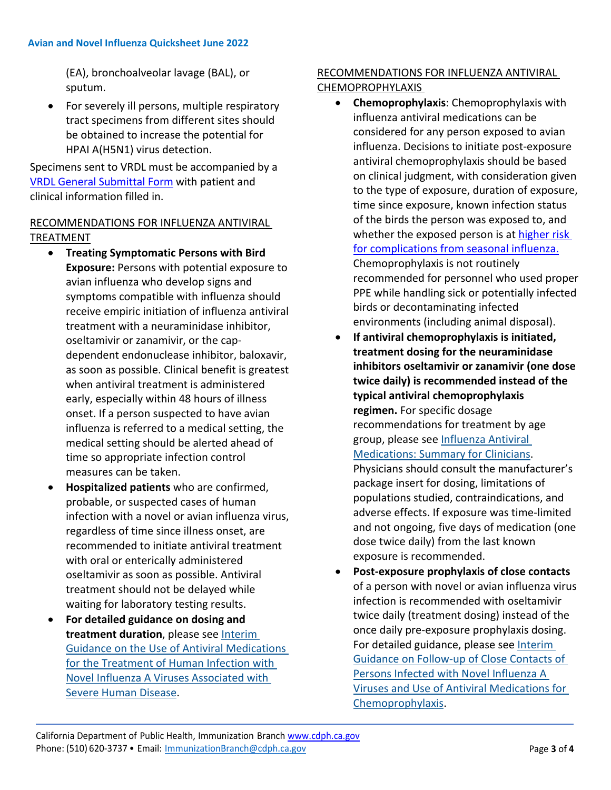(EA), bronchoalveolar lavage (BAL), or sputum.

• For severely ill persons, multiple respiratory tract specimens from different sites should be obtained to increase the potential for HPAI A(H5N1) virus detection.

Specimens sent to VRDL must be accompanied by a [VRDL General Submittal Form](https://www.cdph.ca.gov/Programs/CID/DCDC/CDPH%20Document%20Library/VRDL_General_Purpose_Specimen_Submittal_Form.pdf) with patient and clinical information filled in.

# RECOMMENDATIONS FOR INFLUENZA ANTIVIRAL TREATMENT

- **Treating Symptomatic Persons with Bird Exposure:** Persons with potential exposure to avian influenza who develop signs and symptoms compatible with influenza should receive empiric initiation of influenza antiviral treatment with a neuraminidase inhibitor, oseltamivir or zanamivir, or the capdependent endonuclease inhibitor, baloxavir, as soon as possible. Clinical benefit is greatest when antiviral treatment is administered early, especially within 48 hours of illness onset. If a person suspected to have avian influenza is referred to a medical setting, the medical setting should be alerted ahead of time so appropriate infection control measures can be taken.
- **Hospitalized patients** who are confirmed, probable, or suspected cases of human infection with a novel or avian influenza virus, regardless of time since illness onset, are recommended to initiate antiviral treatment with oral or enterically administered oseltamivir as soon as possible. Antiviral treatment should not be delayed while waiting for laboratory testing results.
- **For detailed guidance on dosing and treatment duration**, please see [Interim](http://www.cdc.gov/flu/avianflu/novel-av-treatment-guidance.htm)  [Guidance on the Use of Antiviral Medications](http://www.cdc.gov/flu/avianflu/novel-av-treatment-guidance.htm)  [for the Treatment of Human Infection with](http://www.cdc.gov/flu/avianflu/novel-av-treatment-guidance.htm)  [Novel Influenza A Viruses Associated with](http://www.cdc.gov/flu/avianflu/novel-av-treatment-guidance.htm)  [Severe Human Disease.](http://www.cdc.gov/flu/avianflu/novel-av-treatment-guidance.htm)

# RECOMMENDATIONS FOR INFLUENZA ANTIVIRAL CHEMOPROPHYLAXIS

- **Chemoprophylaxis**: Chemoprophylaxis with influenza antiviral medications can be considered for any person exposed to avian influenza. Decisions to initiate post-exposure antiviral chemoprophylaxis should be based on clinical judgment, with consideration given to the type of exposure, duration of exposure, time since exposure, known infection status of the birds the person was exposed to, and whether the exposed person is at higher risk [for complications from seasonal influenza.](https://www.cdc.gov/flu/highrisk/index.htm) Chemoprophylaxis is not routinely recommended for personnel who used proper PPE while handling sick or potentially infected birds or decontaminating infected environments (including animal disposal).
- **If antiviral chemoprophylaxis is initiated, treatment dosing for the neuraminidase inhibitors oseltamivir or zanamivir (one dose twice daily) is recommended instead of the typical antiviral chemoprophylaxis regimen.** For specific dosage recommendations for treatment by age group, please see [Influenza Antiviral](https://www.cdc.gov/flu/professionals/antivirals/summary-clinicians.htm)  Medicatio[ns: Summary for Clinicians.](https://www.cdc.gov/flu/professionals/antivirals/summary-clinicians.htm) Physicians should consult the manufacturer's package insert for dosing, limitations of populations studied, contraindications, and adverse effects. If exposure was time-limited and not ongoing, five days of medication (one dose twice daily) from the last known exposure is recommended.
- **Post-exposure prophylaxis of close contacts** of a person with novel or avian influenza virus infection is recommended with oseltamivir twice daily (treatment dosing) instead of the once daily pre-exposure prophylaxis dosing. For detailed guidance, please see [Interim](https://www.cdc.gov/flu/avianflu/novel-av-chemoprophylaxis-guidance.htm)  [Guidance on Follow-up of Close Contacts of](https://www.cdc.gov/flu/avianflu/novel-av-chemoprophylaxis-guidance.htm)  [Persons Infected with Novel Influenza A](https://www.cdc.gov/flu/avianflu/novel-av-chemoprophylaxis-guidance.htm)  Viruses and [Use of Antiviral Medications for](https://www.cdc.gov/flu/avianflu/novel-av-chemoprophylaxis-guidance.htm)  [Chemoprophylaxis.](https://www.cdc.gov/flu/avianflu/novel-av-chemoprophylaxis-guidance.htm)